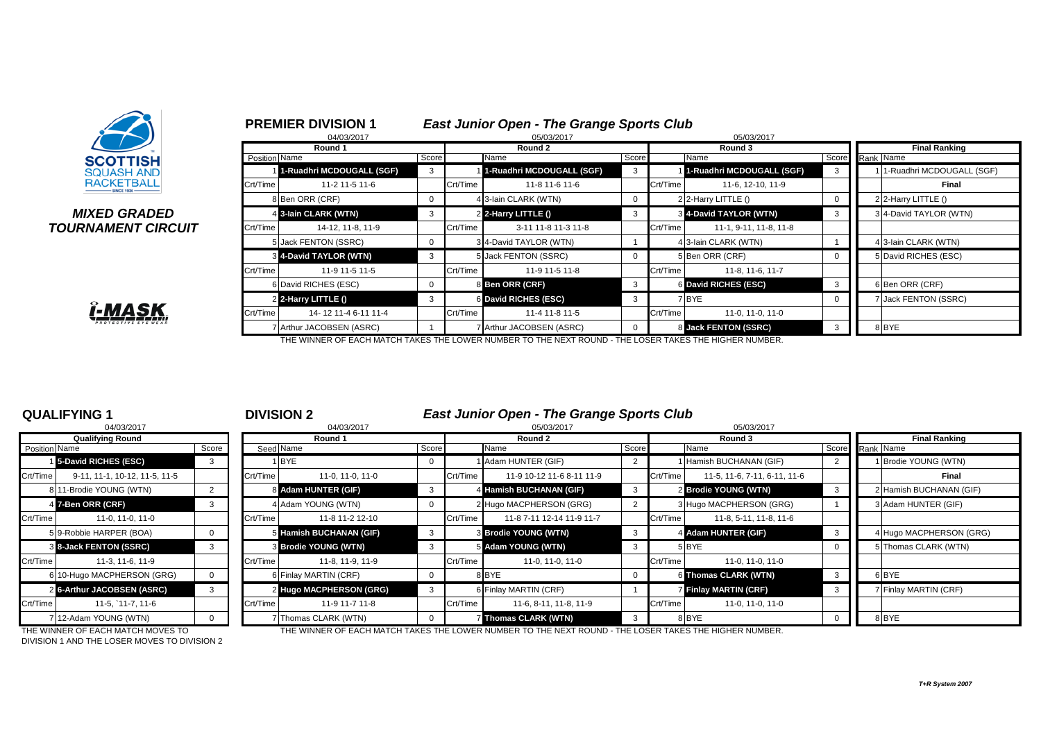

# **TOURNAMENT CIRCUIT**



|                                |               | <b>PREMIER DIVISION 1</b><br>04/03/2017 |       |          | <b>East Junior Open - The Grange Sports Club</b><br>05/03/2017 |             |          | 05/03/2017                |              |           |                             |
|--------------------------------|---------------|-----------------------------------------|-------|----------|----------------------------------------------------------------|-------------|----------|---------------------------|--------------|-----------|-----------------------------|
|                                |               | Round 1                                 |       |          | Round 2                                                        |             |          | Round 3                   |              |           | <b>Final Ranking</b>        |
| <b>SCOTTISH</b>                | Position Name |                                         | Score |          | Name                                                           | Score       |          | Name                      | Score        | Rank Name |                             |
| <b>SQUASH AND</b>              |               | 1-Ruadhri MCDOUGALL (SGF)               |       |          | 1-Ruadhri MCDOUGALL (SGF)                                      |             |          | 1-Ruadhri MCDOUGALL (SGF) |              |           | 1 1-Ruadhri MCDOUGALL (SGF) |
| <b>RACKETBALL</b>              | Crt/Time      | 11-2 11-5 11-6                          |       | Crt/Time | 11-8 11-6 11-6                                                 |             | Crt/Time | 11-6, 12-10, 11-9         |              |           | Final                       |
|                                |               | 8 Ben ORR (CRF)                         |       |          | 4 3-Iain CLARK (WTN)                                           | $\mathbf 0$ |          | 2 2-Harry LITTLE ()       | $\mathbf 0$  |           | 2 2-Harry LITTLE ()         |
| <i>MIXED GRADED</i>            |               | 4 3-Iain CLARK (WTN)                    | 3     |          | 2 2-Harry LITTLE ()                                            | 3           |          | 3 4-David TAYLOR (WTN)    | 3            |           | 3 4-David TAYLOR (WTN)      |
| <i><b>IRNAMENT CIRCUIT</b></i> | Crt/Time      | 14-12, 11-8, 11-9                       |       | Crt/Time | 3-11 11-8 11-3 11-8                                            |             | Crt/Time | 11-1, 9-11, 11-8, 11-8    |              |           |                             |
|                                |               | 5 Jack FENTON (SSRC)                    |       |          | 3 4-David TAYLOR (WTN)                                         |             |          | 4 3-Iain CLARK (WTN)      |              |           | 4 3-Iain CLARK (WTN)        |
|                                |               | 3 4-David TAYLOR (WTN)                  | 3     |          | 5 Jack FENTON (SSRC)                                           | $\mathbf 0$ |          | 5 Ben ORR (CRF)           | $\mathbf{0}$ |           | 5 David RICHES (ESC)        |
|                                | Crt/Time      | 11-9 11-5 11-5                          |       | Crt/Time | 11-9 11-5 11-8                                                 |             | Crt/Time | 11-8, 11-6, 11-7          |              |           |                             |
|                                |               | 6 David RICHES (ESC)                    |       |          | 8 Ben ORR (CRF)                                                | 3           |          | 6 David RICHES (ESC)      | 3            |           | 6 Ben ORR (CRF)             |
|                                |               | 2 2-Harry LITTLE ()                     | 3     |          | 6 David RICHES (ESC)                                           | 3           |          | 7 BYE                     | $\Omega$     |           | 7 Jack FENTON (SSRC)        |
| <i>î-MASK</i>                  | Crt/Time      | 14-12 11-4 6-11 11-4                    |       | Crt/Time | 11-4 11-8 11-5                                                 |             | Crt/Time | 11-0, 11-0, 11-0          |              |           |                             |
| <b>PROTECTIVE EYE WE</b>       |               | 7 Arthur JACOBSEN (ASRC)                |       |          | 7 Arthur JACOBSEN (ASRC)                                       | $\mathbf 0$ |          | 8 Jack FENTON (SSRC)      | -3           |           | 8 BYE                       |

THE WINNER OF EACH MATCH TAKES THE LOWER NUMBER TO THE NEXT ROUND - THE LOSER TAKES THE HIGHER NUMBER.

|                | 04/03/2017                    |       |
|----------------|-------------------------------|-------|
|                | <b>Qualifying Round</b>       |       |
| Position Name  |                               | Score |
| 1 <sup>1</sup> | 5-David RICHES (ESC)          | 3     |
| Crt/Time       | 9-11, 11-1, 10-12, 11-5, 11-5 |       |
| 8              | 11-Brodie YOUNG (WTN)         | 2     |
| $\overline{4}$ | 7-Ben ORR (CRF)               | 3     |
| Crt/Time       | 11-0, 11-0, 11-0              |       |
|                | 5 9-Robbie HARPER (BOA)       | O     |
|                | 8 8-Jack FENTON (SSRC)        | 3     |
| Crt/Time       | 11-3, 11-6, 11-9              |       |
| 6              | 10-Hugo MACPHERSON (GRG)      | O     |
| $\overline{2}$ | 6-Arthur JACOBSEN (ASRC)      | 3     |
| Crt/Time       | 11-5, 11-7, 11-6              |       |
|                | 7 12-Adam YOUNG (WTN)         |       |

### **QUALIFYING 1** <sup>1</sup> **DIVISION 2** *East Junior Open - The Grange Sports Club*

|               | 04/03/2017                    |              | 04/03/2017         |                         |    |          | 05/03/2017                | 05/03/2017 |          |                              |           |  |                         |
|---------------|-------------------------------|--------------|--------------------|-------------------------|----|----------|---------------------------|------------|----------|------------------------------|-----------|--|-------------------------|
|               | <b>Qualifying Round</b>       |              |                    | Round 1                 |    |          | Round 2                   |            |          | Round 3                      |           |  | <b>Final Ranking</b>    |
| Position Name |                               | Score        | Seed Name<br>Score |                         |    | Name     | Score                     |            | Name     | Score                        | Rank Name |  |                         |
|               | 5-David RICHES (ESC)          | 3            |                    | 1BYE                    |    |          | Adam HUNTER (GIF)         |            |          | Hamish BUCHANAN (GIF)        |           |  | 1 Brodie YOUNG (WTN)    |
| Crt/Time      | 9-11, 11-1, 10-12, 11-5, 11-5 |              | Crt/Time           | 11-0. 11-0. 11-0        |    | Crt/Time | 11-9 10-12 11-6 8-11 11-9 |            | Crt/Time | 11-5, 11-6, 7-11, 6-11, 11-6 |           |  | Final                   |
|               | 8 11-Brodie YOUNG (WTN)       |              |                    | 8 Adam HUNTER (GIF)     | -3 |          | 4 Hamish BUCHANAN (GIF)   | 3          |          | 2 Brodie YOUNG (WTN)         |           |  | 2 Hamish BUCHANAN (GIF) |
|               | 4 7-Ben ORR (CRF)             | 3            |                    | 4 Adam YOUNG (WTN)      |    |          | 2 Hugo MACPHERSON (GRG)   |            |          | 3 Hugo MACPHERSON (GRG)      |           |  | 3 Adam HUNTER (GIF)     |
| Crt/Time      | 11-0, 11-0, 11-0              |              | Crt/Time           | 11-8 11-2 12-10         |    | Crt/Time | 11-8 7-11 12-14 11-9 11-7 |            | Crt/Time | 11-8, 5-11, 11-8, 11-6       |           |  |                         |
|               | 59-Robbie HARPER (BOA)        |              |                    | 5 Hamish BUCHANAN (GIF) | 3  |          | 3 Brodie YOUNG (WTN)      | 3          |          | 4 Adam HUNTER (GIF)          |           |  | 4 Hugo MACPHERSON (GRG) |
|               | <b>8 8-Jack FENTON (SSRC)</b> | 3            |                    | 3 Brodie YOUNG (WTN)    | 3  |          | 5 Adam YOUNG (WTN)        | 3          |          | 5 BYE                        | $\Omega$  |  | 5 Thomas CLARK (WTN)    |
| Crt/Time      | 11-3, 11-6, 11-9              |              | Crt/Time           | 11-8, 11-9, 11-9        |    | Crt/Time | 11-0, 11-0, 11-0          |            | Crt/Time | 11-0, 11-0, 11-0             |           |  |                         |
|               | 6 10-Hugo MACPHERSON (GRG)    | $\mathbf{0}$ |                    | 6 Finlay MARTIN (CRF)   |    |          | 8 BYE                     |            |          | 6 Thomas CLARK (WTN)         |           |  | 6 BYE                   |
|               | 2 6-Arthur JACOBSEN (ASRC)    | 3            |                    | 2 Hugo MACPHERSON (GRG) | -3 |          | 6 Finlay MARTIN (CRF)     |            |          | <b>7 Finlay MARTIN (CRF)</b> |           |  | 7 Finlay MARTIN (CRF)   |
| Crt/Time      | 11-5, `11-7, 11-6             |              | Crt/Time           | 11-9 11-7 11-8          |    | Crt/Time | 11-6, 8-11, 11-8, 11-9    |            | Crt/Time | 11-0, 11-0, 11-0             |           |  |                         |
|               | 712-Adam YOUNG (WTN)          |              |                    | 7 Thomas CLARK (WTN)    |    |          | 7 Thomas CLARK (WTN)      |            |          | 8 BYE                        |           |  | 8 BYE                   |

DIVISION 1 AND THE LOSER MOVES TO DIVISION 2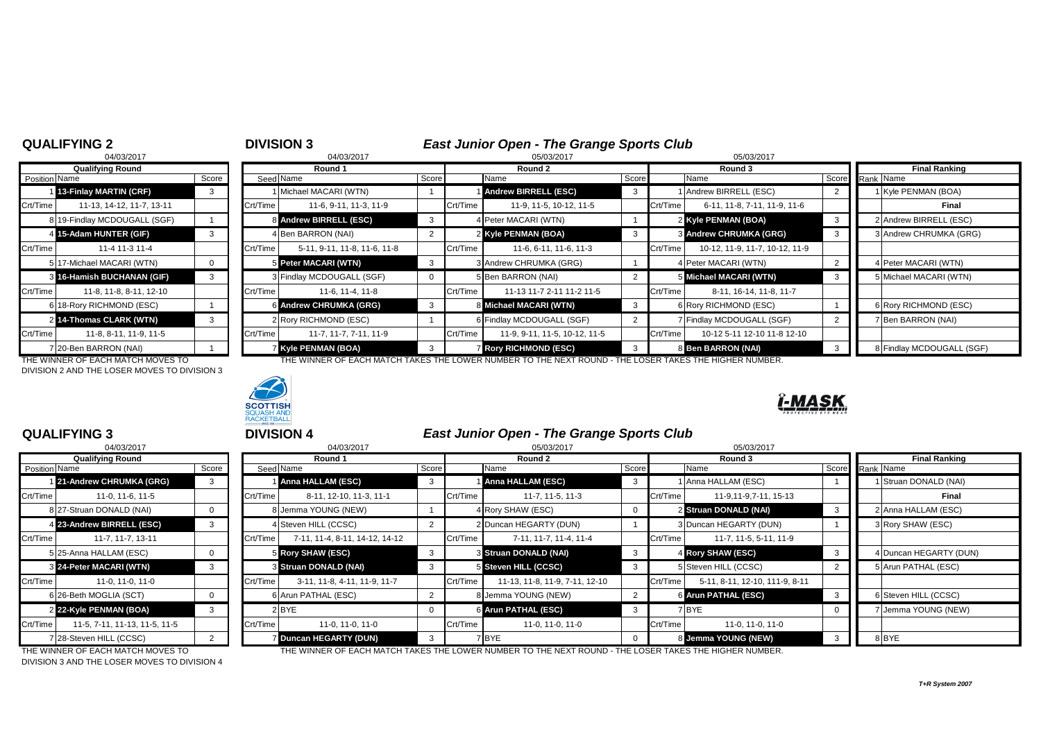## **QUALIFYING 2**<br>04/03/2017<br>05/03/2017<br>05/03/2017

|               | 04/03/2017                   |             |          | 04/03/2017                   |          |          | 05/03/2017                    |       |          | 05/03/2017                  |
|---------------|------------------------------|-------------|----------|------------------------------|----------|----------|-------------------------------|-------|----------|-----------------------------|
|               | <b>Qualifying Round</b>      |             |          | Round 1                      |          |          | Round 2                       |       |          | Round 3                     |
| Position Name |                              | Score       |          | Seed Name                    | Score    |          | Name                          | Score |          | Name                        |
|               | 1 13-Finlay MARTIN (CRF)     | 3           |          | Michael MACARI (WTN)         |          |          | <b>Andrew BIRRELL (ESC)</b>   | 3     |          | Andrew BIRRELL (ESC)        |
| Crt/Time      | 11-13, 14-12, 11-7, 13-11    |             | Crt/Time | 11-6, 9-11, 11-3, 11-9       |          | Crt/Time | 11-9, 11-5, 10-12, 11-5       |       | Crt/Time | 6-11, 11-8, 7-11, 11        |
|               | 8 19-Findlay MCDOUGALL (SGF) |             |          | 8 Andrew BIRRELL (ESC)       | 3        |          | 4 Peter MACARI (WTN)          |       |          | 2 Kyle PENMAN (BOA)         |
|               | 4 15-Adam HUNTER (GIF)       | 3           |          | 4 Ben BARRON (NAI)           | 2        |          | 2 Kyle PENMAN (BOA)           | 3     |          | <b>3 Andrew CHRUMKA (GF</b> |
| Crt/Time      | 11-4 11-3 11-4               |             | Crt/Time | 5-11, 9-11, 11-8, 11-6, 11-8 |          | Crt/Time | 11-6, 6-11, 11-6, 11-3        |       | Crt/Time | 10-12, 11-9, 11-7, 10       |
|               | 5 17-Michael MACARI (WTN)    | $\mathbf 0$ |          | 5 Peter MACARI (WTN)         | 3        |          | 3 Andrew CHRUMKA (GRG)        |       |          | 4 Peter MACARI (WTN)        |
|               | 3 16-Hamish BUCHANAN (GIF)   | 3           |          | 3 Findlay MCDOUGALL (SGF)    | $\Omega$ |          | 5 Ben BARRON (NAI)            | 2     |          | 5 Michael MACARI (WTN       |
| Crt/Time      | 11-8, 11-8, 8-11, 12-10      |             | Crt/Time | 11-6, 11-4, 11-8             |          | Crt/Time | 11-13 11-7 2-11 11-2 11-5     |       | Crt/Time | 8-11, 16-14, 11-8           |
|               | 6 18-Rory RICHMOND (ESC)     |             |          | 6 Andrew CHRUMKA (GRG)       | 3        |          | 8 Michael MACARI (WTN)        | 3     |          | 6 Rory RICHMOND (ESC)       |
|               | 2 14-Thomas CLARK (WTN)      | 3           |          | 2 Rory RICHMOND (ESC)        |          |          | 6 Findlay MCDOUGALL (SGF)     | 2     |          | 7 Findlay MCDOUGALL (S      |
| Crt/Time      | 11-8, 8-11, 11-9, 11-5       |             | Crt/Time | 11-7, 11-7, 7-11, 11-9       |          | Crt/Time | 11-9, 9-11, 11-5, 10-12, 11-5 |       | Crt/Time | 10-12 5-11 12-10 11         |
|               | 7 20-Ben BARRON (NAI)        |             |          | <b>7 Kyle PENMAN (BOA)</b>   | 3        |          | <b>7 Rory RICHMOND (ESC)</b>  | 3     |          | 8 Ben BARRON (NAI)          |

DIVISION 2 AND THE LOSER MOVES TO DIVISION 3



| <b>Qualifying Round</b><br>Position Name |                              |       |          | Round 1                      |              | Round 2                                   |       | Round 3                                    |                | <b>Final Ranking</b>      |  |
|------------------------------------------|------------------------------|-------|----------|------------------------------|--------------|-------------------------------------------|-------|--------------------------------------------|----------------|---------------------------|--|
|                                          |                              | Score |          | Seed Name                    | Score        | Name                                      | Score | Name                                       |                | Score Rank Name           |  |
|                                          | 1 13-Finlay MARTIN (CRF)     |       |          | 1 Michael MACARI (WTN)       |              | <b>Andrew BIRRELL (ESC)</b>               |       | 1 Andrew BIRRELL (ESC)                     |                | 1 Kyle PENMAN (BOA)       |  |
| Crt/Time                                 | 11-13, 14-12, 11-7, 13-11    |       | Crt/Time | 11-6, 9-11, 11-3, 11-9       |              | 11-9, 11-5, 10-12, 11-5<br>Crt/Time       |       | 6-11, 11-8, 7-11, 11-9, 11-6<br>Crt/Time   |                | Final                     |  |
|                                          | 8 19-Findlay MCDOUGALL (SGF) |       |          | 8 Andrew BIRRELL (ESC)       | 3            | 4 Peter MACARI (WTN)                      |       | 2 Kyle PENMAN (BOA)                        |                | 2 Andrew BIRRELL (ESC)    |  |
|                                          | 4 15-Adam HUNTER (GIF)       |       |          | 4 Ben BARRON (NAI)           |              | 2 Kyle PENMAN (BOA)                       |       | 3 Andrew CHRUMKA (GRG)                     |                | 3 Andrew CHRUMKA (GRG)    |  |
| Crt/Time                                 | 11-4 11-3 11-4               |       | Crt/Time | 5-11, 9-11, 11-8, 11-6, 11-8 |              | 11-6, 6-11, 11-6, 11-3<br>Crt/Time        |       | 10-12, 11-9, 11-7, 10-12, 11-9<br>Crt/Time |                |                           |  |
|                                          | 5 17-Michael MACARI (WTN)    |       |          | 5 Peter MACARI (WTN)         | $\mathbf{3}$ | 3 Andrew CHRUMKA (GRG)                    |       | 4 Peter MACARI (WTN)                       |                | 4 Peter MACARI (WTN)      |  |
|                                          | 3 16-Hamish BUCHANAN (GIF)   |       |          | 3 Findlay MCDOUGALL (SGF)    | $\mathbf 0$  | 5 Ben BARRON (NAI)                        |       | 5 Michael MACARI (WTN)                     |                | 5 Michael MACARI (WTN)    |  |
| Crt/Time                                 | 11-8, 11-8, 8-11, 12-10      |       | Crt/Time | 11-6, 11-4, 11-8             |              | 11-13 11-7 2-11 11-2 11-5<br>Crt/Time     |       | 8-11, 16-14, 11-8, 11-7<br>Crt/Time        |                |                           |  |
|                                          | 6 18-Rory RICHMOND (ESC)     |       |          | 6 Andrew CHRUMKA (GRG)       | 3            | 8 Michael MACARI (WTN)                    |       | 6 Rory RICHMOND (ESC)                      |                | 6 Rory RICHMOND (ESC)     |  |
|                                          | 2 14-Thomas CLARK (WTN)      |       |          | 2 Rory RICHMOND (ESC)        |              | 6 Findlay MCDOUGALL (SGF)                 |       | 7 Findlay MCDOUGALL (SGF)                  | $\overline{2}$ | 7 Ben BARRON (NAI)        |  |
| Crt/Time                                 | 11-8, 8-11, 11-9, 11-5       |       | Crt/Time | 11-7.11-7.7-11.11-9          |              | 11-9, 9-11, 11-5, 10-12, 11-5<br>Crt/Time |       | 10-12 5-11 12-10 11-8 12-10<br>Crt/Time    |                |                           |  |
|                                          | 7 20-Ben BARRON (NAI)        |       |          | Kyle PENMAN (BOA)            | 3            | <b>Rory RICHMOND (ESC)</b>                |       | 8 Ben BARRON (NAI)                         |                | 8 Findlay MCDOUGALL (SGF) |  |

THE WINNER OF EACH MATCH MOVES TO THE WINNER OF EACH MATCH TAKES THE LOWER NUMBER TO THE NEXT ROUND - THE LOSER TAKES THE HIGHER NUMBER.



|               | <b>QUALIFYING 3</b>           |       |          | <b>DIVISION 4</b>              | <b>East Junior Open - The Grange Sports Club</b> |          |                                |       |                 |                       |  |
|---------------|-------------------------------|-------|----------|--------------------------------|--------------------------------------------------|----------|--------------------------------|-------|-----------------|-----------------------|--|
|               | 04/03/2017                    |       |          | 04/03/2017                     |                                                  |          | 05/03/2017                     |       |                 | 05/03/2017            |  |
|               | <b>Qualifying Round</b>       |       |          | Round 1                        |                                                  |          | Round 2                        |       | Round 3<br>Name |                       |  |
| Position Name |                               | Score |          | Seed Name                      | Score                                            |          | Name                           | Score |                 |                       |  |
|               | 21-Andrew CHRUMKA (GRG)       | 3     |          | Anna HALLAM (ESC)              | 3                                                |          | Anna HALLAM (ESC)              | 3     |                 | Anna HALLAM (ESC)     |  |
| Crt/Time      | 11-0, 11-6, 11-5              |       | Crt/Time | 8-11, 12-10, 11-3, 11-1        |                                                  | Crt/Time | 11-7, 11-5, 11-3               |       | Crt/Time        | $11-9, 11-9, 7-11,$   |  |
|               | 8 27-Struan DONALD (NAI)      | 0     |          | 8 Jemma YOUNG (NEW)            |                                                  |          | 4 Rory SHAW (ESC)              | 0     |                 | 2 Struan DONALD (NAI) |  |
|               | 4 23-Andrew BIRRELL (ESC)     | 3     |          | 4 Steven HILL (CCSC)           | 2                                                |          | 2 Duncan HEGARTY (DUN)         |       |                 | 3 Duncan HEGARTY (DUI |  |
| Crt/Time      | 11-7, 11-7, 13-11             |       | Crt/Time | 7-11, 11-4, 8-11, 14-12, 14-12 |                                                  | Crt/Time | 7-11, 11-7, 11-4, 11-4         |       | Crt/Time        | 11-7, 11-5, 5-11.     |  |
|               | 5 25-Anna HALLAM (ESC)        | 0     |          | 5 Rory SHAW (ESC)              | 3                                                |          | 8 Struan DONALD (NAI)          | 3     |                 | 4 Rory SHAW (ESC)     |  |
|               | 3 24-Peter MACARI (WTN)       | 3     |          | <b>3 Struan DONALD (NAI)</b>   | 3                                                |          | 5 Steven HILL (CCSC)           | 3     |                 | 5 Steven HILL (CCSC)  |  |
| Crt/Time      | 11-0, 11-0, 11-0              |       | Crt/Time | 3-11, 11-8, 4-11, 11-9, 11-7   |                                                  | Crt/Time | 11-13, 11-8, 11-9, 7-11, 12-10 |       | Crt/Time        | 5-11, 8-11, 12-10, 11 |  |
|               | 6 26-Beth MOGLIA (SCT)        | 0     |          | 6 Arun PATHAL (ESC)            | 2                                                |          | 8 Jemma YOUNG (NEW)            | 2     |                 | 6 Arun PATHAL (ESC)   |  |
|               | 2 22-Kyle PENMAN (BOA)        | 3     |          | 2 BYE                          | $\Omega$                                         |          | 6 Arun PATHAL (ESC)            | 3     |                 | 7 BYE                 |  |
| Crt/Time      | 11-5, 7-11, 11-13, 11-5, 11-5 |       | Crt/Time | 11-0, 11-0, 11-0               |                                                  | Crt/Time | 11-0, 11-0, 11-0               |       | Crt/Time        | 11-0, 11-0, 11        |  |
|               | 7 28-Steven HILL (CCSC)       | 2     |          | 7 Duncan HEGARTY (DUN)         | 3                                                |          | 7 BYE                          | 0     |                 | 8 Jemma YOUNG (NEW)   |  |

**Qualifying Round Round 1 Round 2 Round 3 Final Ranking** Position Name Score Score Seed Name Seed Score Score Score Name Score Score Name Score Name Score Score Rank Name 1 **21-Andrew CHRUMKA (GRG)** 3 1 **Anna HALLAM (ESC)** 3 1 **Anna HALLAM (ESC)** 3 1 Anna HALLAM (ESC) 1 1 Struan DONALD (NAI) Crt/Time 11-0, 11-6, 11-5 Crt/Time 8-11, 12-10, 11-3, 11-1 Crt/Time 11-7, 11-5, 11-3 Crt/Time 11-9,11-9,7-11, 15-13 **Final** 8 27-Struan DONALD (NAI) | 0 | | 8 Jemma YOUNG (NEW) | 1 | 4 |Rory SHAW (ESC) 0 | 2 **|Struan DONALD (NAI)** 3 || 2 |Anna HALLAM (ESC) 4 Steven HILL (CCSC) 2 2 Duncan HEGARTY (DUN) 1 3 Duncan HEGARTY (DUN) 1 3 Rory SHAW (ESC) Crt/Time 7-11, 11-4, 8-11, 14-12, 14-12 Crt/Time 7-11, 11-7, 11-4, 11-4 Crt/Time 11-7, 11-5, 5-11, 11-9 5 **Rory SHAW (ESC)** 3 5 3 5 3 3 3 3 3 3 3 3 4 **S Struan DONALD (NAI)** 3 3 4 **Rory SHAW (ESC)** 3 3 4 Duncan HEGARTY (DUN) 3 24-Peter MACARI (WTN) 3 3 Struan DONALD (NAI) 3 5 Steven HILL (CCSC) 5 Steven HILL (CCSC) 5 Steven HILL (CCSC) 5 Arun PATHAL (ESC) Crt/Time 3-11, 11-8, 4-11, 11-9, 11-7 Crt/Time 11-13, 11-8, 11-9, 7-11, 12-10 Crt/Time 5-11, 8-11, 12-10, 111-9, 8-11 Crt/ 6 26-Beth MOGLIA (SCT) 0 6 Arun PATHAL (ESC) 2 8 Jemma YOUNG (NEW) 2 6 **Arun PATHAL (ESC)** 3 6 Steven HILL (CCSC) 2 **22-Kyle PENMAN (BOA)** 3 2 BYE 0 6 **Arun PATHAL (ESC)** 3 7 BYE 0 7 Jemma YOUNG (NEW) Crt/Time | 11-5, 7-11, 11-13, 11-5, 11-5, 11-5, 11-5, 11-0 | Crt/Time | 11-0, 11-0, 11-0, 11-0, 11-0, 11-0, 11-0, 11-0, 11-0, 11-0, 11-0, 11-0, 11-0, 11-0, 11-0, 11-0, 11-0, 11-0, 11-0, 11-0, 11-0, 11-0, 11-0, 11-0, 11-0, 7 Duncan HEGARTY (DUN) 3 7 BYE 1 8 8 Jemma YOUNG (NEW) 3 8 8 BYE

DIVISION 3 AND THE LOSER MOVES TO DIVISION 4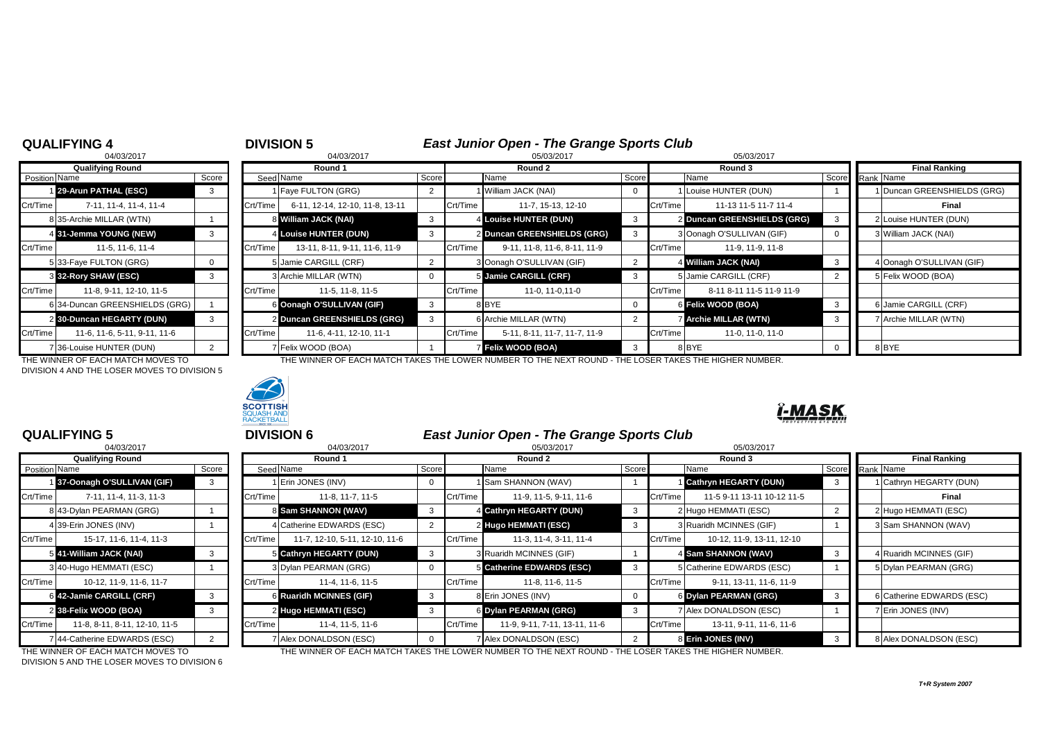### **QUALIFYING 4** <sup>4</sup> **DIVISION 5** *East Junior Open - The Grange Sports Club*

|               | 04/03/2017                     |             |          | 04/03/2017                      |       |          | 05/03/2017                   |                |          | 05/03/2017                 |
|---------------|--------------------------------|-------------|----------|---------------------------------|-------|----------|------------------------------|----------------|----------|----------------------------|
|               | <b>Qualifying Round</b>        |             |          | Round 1                         |       |          | Round 2                      |                |          | Round 3                    |
| Position Name |                                | Score       |          | Seed Name                       | Score |          | Name                         | Score          |          | Name                       |
|               | 29-Arun PATHAL (ESC)           | 3           |          | 1 Faye FULTON (GRG)             | 2     |          | William JACK (NAI)           | 0              |          | I Louise HUNTER (DUN)      |
| Crt/Time      | 7-11, 11-4, 11-4, 11-4         |             | Crt/Time | 6-11, 12-14, 12-10, 11-8, 13-11 |       | Crt/Time | 11-7, 15-13, 12-10           |                | Crt/Time | 11-13 11-5 11-7            |
|               | 8 35-Archie MILLAR (WTN)       |             |          | 8 William JACK (NAI)            | 3     |          | 4 Louise HUNTER (DUN)        | 3              |          | 2 Duncan GREENSHIELI       |
|               | 4 31-Jemma YOUNG (NEW)         | 3           |          | 4 Louise HUNTER (DUN)           | 3     |          | 2 Duncan GREENSHIELDS (GRG)  |                |          | 3 Oonagh O'SULLIVAN (G     |
| Crt/Time      | 11-5, 11-6, 11-4               |             | Crt/Time | 13-11, 8-11, 9-11, 11-6, 11-9   |       | Crt/Time | 9-11, 11-8, 11-6, 8-11, 11-9 |                | Crt/Time | 11-9, 11-9, 11             |
|               | 5 33-Faye FULTON (GRG)         | $\mathbf 0$ |          | 5 Jamie CARGILL (CRF)           | 2     |          | 3 Oonagh O'SULLIVAN (GIF)    | $\overline{2}$ |          | 4 William JACK (NAI)       |
|               | 3 32-Rory SHAW (ESC)           | 3           |          | 3 Archie MILLAR (WTN)           | 0     |          | 5 Jamie CARGILL (CRF)        |                |          | 5 Jamie CARGILL (CRF)      |
| Crt/Time      | 11-8, 9-11, 12-10, 11-5        |             | Crt/Time | 11-5, 11-8, 11-5                |       | Crt/Time | 11-0, 11-0, 11-0             |                | Crt/Time | 8-11 8-11 11-5 11          |
|               | 6 34-Duncan GREENSHIELDS (GRG) |             |          | 6 Oonagh O'SULLIVAN (GIF)       | 3     |          | 8 BYE                        | 0              |          | 6 Felix WOOD (BOA)         |
|               | 2 30-Duncan HEGARTY (DUN)      | 3           |          | 2 Duncan GREENSHIELDS (GRG)     | 3     |          | 6 Archie MILLAR (WTN)        |                |          | <b>Archie MILLAR (WTN)</b> |
| Crt/Time      | 11-6, 11-6, 5-11, 9-11, 11-6   |             | Crt/Time | 11-6, 4-11, 12-10, 11-1         |       | Crt/Time | 5-11, 8-11, 11-7, 11-7, 11-9 |                | Crt/Time | 11-0, 11-0, 11             |
|               | 7 36-Louise HUNTER (DUN)       | 2           |          | 7 Felix WOOD (BOA)              |       |          | Felix WOOD (BOA)             |                |          | 8 BYE                      |
|               |                                |             |          |                                 |       |          |                              |                |          |                            |

DIVISION 4 AND THE LOSER MOVES TO DIVISION 5



| <b>Qualifying Round</b><br>Position Name |                                |       |          | Round 1                         |       |          | Round 2                      |                |          | Round 3                      |                 | <b>Final Ranking</b>        |
|------------------------------------------|--------------------------------|-------|----------|---------------------------------|-------|----------|------------------------------|----------------|----------|------------------------------|-----------------|-----------------------------|
|                                          |                                | Score |          | Seed Name                       | Score |          | Name                         | Score          |          | Name                         | Score Rank Name |                             |
|                                          | 1 29-Arun PATHAL (ESC)         | 3     |          | 1 Faye FULTON (GRG)             |       |          | William JACK (NAI)           | $\mathbf 0$    |          | Louise HUNTER (DUN)          |                 | 1 Duncan GREENSHIELDS (GRG) |
| Crt/Time                                 | 7-11, 11-4, 11-4, 11-4         |       | Crt/Time | 6-11, 12-14, 12-10, 11-8, 13-11 |       | Crt/Time | 11-7, 15-13, 12-10           |                | Crt/Time | 11-13 11-5 11-7 11-4         |                 | Final                       |
|                                          | 8 35-Archie MILLAR (WTN)       |       |          | 8 William JACK (NAI)            |       |          | 4 Louise HUNTER (DUN)        | 3              |          | 2 Duncan GREENSHIELDS (GRG)  |                 | 2 Louise HUNTER (DUN)       |
|                                          | 4 31-Jemma YOUNG (NEW)         | 3     |          | 4 Louise HUNTER (DUN)           |       |          | 2 Duncan GREENSHIELDS (GRG)  |                |          | 3 Oonagh O'SULLIVAN (GIF)    |                 | 3 William JACK (NAI)        |
| Crt/Time                                 | 11-5, 11-6, 11-4               |       | Crt/Time | 13-11, 8-11, 9-11, 11-6, 11-9   |       | Crt/Time | 9-11, 11-8, 11-6, 8-11, 11-9 |                | Crt/Time | 11-9, 11-9, 11-8             |                 |                             |
|                                          | 5 33-Faye FULTON (GRG)         |       |          | 5 Jamie CARGILL (CRF)           |       |          | 3 Oonagh O'SULLIVAN (GIF)    | $\overline{2}$ |          | 4 William JACK (NAI)         | -3              | 4 Oonagh O'SULLIVAN (GIF)   |
|                                          | 3 32-Rory SHAW (ESC)           | 3     |          | 3 Archie MILLAR (WTN)           |       |          | 5 Jamie CARGILL (CRF)        | 3              |          | 5 Jamie CARGILL (CRF)        |                 | 5 Felix WOOD (BOA)          |
| Crt/Time                                 | 11-8, 9-11, 12-10, 11-5        |       | Crt/Time | 11-5, 11-8, 11-5                |       | Crt/Time | 11-0, 11-0, 11-0             |                | Crt/Time | 8-11 8-11 11-5 11-9 11-9     |                 |                             |
|                                          | 6 34-Duncan GREENSHIELDS (GRG) |       |          | 6 Oonagh O'SULLIVAN (GIF)       |       |          | 8 BYE                        | 0              |          | 6 Felix WOOD (BOA)           |                 | 6 Jamie CARGILL (CRF)       |
|                                          | 2 30-Duncan HEGARTY (DUN)      | 3     |          | 2 Duncan GREENSHIELDS (GRG)     |       |          | 6 Archie MILLAR (WTN)        | $\overline{2}$ |          | <b>7 Archie MILLAR (WTN)</b> |                 | 7 Archie MILLAR (WTN)       |
| Crt/Time                                 | 11-6, 11-6, 5-11, 9-11, 11-6   |       | Crt/Time | 11-6, 4-11, 12-10, 11-1         |       | Crt/Time | 5-11, 8-11, 11-7, 11-7, 11-9 |                | Crt/Time | 11-0, 11-0, 11-0             |                 |                             |
|                                          | 7 36-Louise HUNTER (DUN)       | 2     |          | 7 Felix WOOD (BOA)              |       |          | Felix WOOD (BOA)             |                |          | 8 BYE                        |                 | 8 BYE                       |

THE WINNER OF EACH MATCH MOVES TO THE WINNER OF EACH MATCH TAKES THE LOWER NUMBER TO THE NEXT ROUND - THE LOSER TAKES THE HIGHER NUMBER.



### **QUALIFYING 5** <sup>5</sup> **DIVISION 6** *East Junior Open - The Grange Sports Club*

|               | 04/03/2017                    |       |
|---------------|-------------------------------|-------|
|               | <b>Qualifying Round</b>       |       |
| Position Name |                               | Score |
|               | 137-Oonagh O'SULLIVAN (GIF)   | 3     |
| Crt/Time      | 7-11, 11-4, 11-3, 11-3        |       |
| 8             | 43-Dylan PEARMAN (GRG)        |       |
|               | 4 39-Erin JONES (INV)         | 1     |
| Crt/Time      | 15-17, 11-6, 11-4, 11-3       |       |
|               | 5 41-William JACK (NAI)       | 3     |
| 3             | 40-Hugo HEMMATI (ESC)         | 1     |
| Crt/Time      | 10-12, 11-9, 11-6, 11-7       |       |
| 6             | 42-Jamie CARGILL (CRF)        | 3     |
|               | 2 38-Felix WOOD (BOA)         | 3     |
| Crt/Time      | 11-8, 8-11, 8-11, 12-10, 11-5 |       |
|               | 44-Catherine EDWARDS (ESC)    | 2     |

|               | 04/03/2017                        |       | 04/03/2017                                 |       |          | 05/03/2017                                                                                           |               |          | 05/03/2017                   |                         |
|---------------|-----------------------------------|-------|--------------------------------------------|-------|----------|------------------------------------------------------------------------------------------------------|---------------|----------|------------------------------|-------------------------|
|               | <b>Qualifying Round</b>           |       | Round 1                                    |       |          | Round 2                                                                                              |               |          | Round 3                      | <b>Final Ranking</b>    |
| Position Name |                                   | Score | Seed Name                                  | Score |          | Name                                                                                                 | Score         |          | Name                         | Score Rank Name         |
|               | 137-Oonagh O'SULLIVAN (GIF)       | 3     | I Erin JONES (INV)                         | -0    |          | Sam SHANNON (WAV)                                                                                    |               |          | <b>Cathryn HEGARTY (DUN)</b> | Cathryn HEGARTY (DUN)   |
| Crt/Time      | 7-11, 11-4, 11-3, 11-3            |       | Crt/Time<br>11-8, 11-7, 11-5               |       | Crt/Time | 11-9, 11-5, 9-11, 11-6                                                                               |               | Crt/Time | 11-5 9-11 13-11 10-12 11-5   | Final                   |
|               | 8 43-Dylan PEARMAN (GRG)          |       | 8 Sam SHANNON (WAV)                        | -3    |          | 4 Cathryn HEGARTY (DUN)                                                                              | 3             |          | 2 Hugo HEMMATI (ESC)         | 2 Hugo HEMMATI (ESC)    |
|               | 4 39-Erin JONES (INV)             |       | 4 Catherine EDWARDS (ESC)                  |       |          | 2 Hugo HEMMATI (ESC)                                                                                 | 3             |          | 3 Ruaridh MCINNES (GIF)      | 3 Sam SHANNON (WAV)     |
| Crt/Time      | 15-17, 11-6, 11-4, 11-3           |       | Crt/Time<br>11-7, 12-10, 5-11, 12-10, 11-6 |       | Crt/Time | 11-3, 11-4, 3-11, 11-4                                                                               |               | Crt/Time | 10-12, 11-9, 13-11, 12-10    |                         |
|               | 5 41-William JACK (NAI)           | -3    | 5 Cathryn HEGARTY (DUN)                    | 3     |          | 3 Ruaridh MCINNES (GIF)                                                                              |               |          | 4 Sam SHANNON (WAV)          | 4 Ruaridh MCINNES (GIF) |
|               | 3 40-Hugo HEMMATI (ESC)           |       | 3 Dylan PEARMAN (GRG)                      |       |          | <b>S</b> Catherine EDWARDS (ESC)                                                                     | 3             |          | 5 Catherine EDWARDS (ESC)    | 5 Dylan PEARMAN (GRG)   |
| Crt/Time      | 10-12, 11-9, 11-6, 11-7           |       | Crt/Time<br>11-4.11-6.11-5                 |       | Crt/Time | 11-8.11-6.11-5                                                                                       |               | Crt/Time | 9-11, 13-11, 11-6, 11-9      |                         |
|               | 6 42-Jamie CARGILL (CRF)          |       | 6 Ruaridh MCINNES (GIF)                    | 3     |          | 8 Erin JONES (INV)                                                                                   | $\mathbf{0}$  |          | 6 Dylan PEARMAN (GRG)        | Gatherine EDWARDS (ESC) |
|               | 2 38-Felix WOOD (BOA)             | 3     | 2 Hugo HEMMATI (ESC)                       | 3     |          | 6 Dylan PEARMAN (GRG)                                                                                | 3             |          | 7 Alex DONALDSON (ESC)       | 7 Erin JONES (INV)      |
| Crt/Time      | 11-8, 8-11, 8-11, 12-10, 11-5     |       | Crt/Time<br>11-4, 11-5, 11-6               |       | Crt/Time | 11-9, 9-11, 7-11, 13-11, 11-6                                                                        |               | Crt/Time | 13-11, 9-11, 11-6, 11-6      |                         |
|               | 7 44-Catherine EDWARDS (ESC)      |       | 7 Alex DONALDSON (ESC)                     |       |          | Alex DONALDSON (ESC)                                                                                 | $\mathcal{P}$ |          | 8 Erin JONES (INV)           | 8 Alex DONALDSON (ESC)  |
|               | THE WINNER OF EACH MATCH MOVES TO |       |                                            |       |          | THE WINNER OF EACH MATCH TAKES THE LOWER NUMBER TO THE NEYT ROUND. THE LOSER TAKES THE HIGHER NUMBER |               |          |                              |                         |

DIVISION 5 AND THE LOSER MOVES TO DIVISION 6